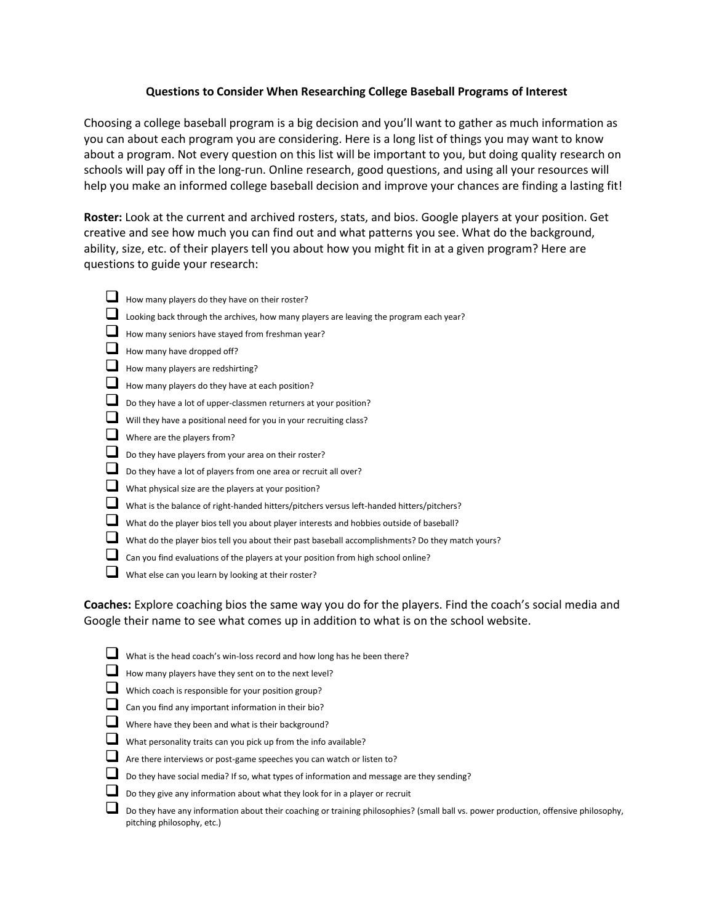## **Questions to Consider When Researching College Baseball Programs of Interest**

Choosing a college baseball program is a big decision and you'll want to gather as much information as you can about each program you are considering. Here is a long list of things you may want to know about a program. Not every question on this list will be important to you, but doing quality research on schools will pay off in the long-run. Online research, good questions, and using all your resources will help you make an informed college baseball decision and improve your chances are finding a lasting fit!

**Roster:** Look at the current and archived rosters, stats, and bios. Google players at your position. Get creative and see how much you can find out and what patterns you see. What do the background, ability, size, etc. of their players tell you about how you might fit in at a given program? Here are questions to guide your research:

- $\Box$  How many players do they have on their roster? Looking back through the archives, how many players are leaving the program each year? How many seniors have stayed from freshman year? How many have dropped off? How many players are redshirting?  $\Box$  How many players do they have at each position? Do they have a lot of upper-classmen returners at your position? Will they have a positional need for you in your recruiting class? Where are the players from?
- Do they have players from your area on their roster?
- Do they have a lot of players from one area or recruit all over?
- What physical size are the players at your position?
- What is the balance of right-handed hitters/pitchers versus left-handed hitters/pitchers?
- What do the player bios tell you about player interests and hobbies outside of baseball?
- What do the player bios tell you about their past baseball accomplishments? Do they match yours?
- Can you find evaluations of the players at your position from high school online?
- What else can you learn by looking at their roster?

**Coaches:** Explore coaching bios the same way you do for the players. Find the coach's social media and Google their name to see what comes up in addition to what is on the school website.

power production, offensive philosophy,

| What is the head coach's win-loss record and how long has he been there?                                                  |
|---------------------------------------------------------------------------------------------------------------------------|
| How many players have they sent on to the next level?                                                                     |
| Which coach is responsible for your position group?                                                                       |
| Can you find any important information in their bio?                                                                      |
| Where have they been and what is their background?                                                                        |
| What personality traits can you pick up from the info available?                                                          |
| Are there interviews or post-game speeches you can watch or listen to?                                                    |
| Do they have social media? If so, what types of information and message are they sending?                                 |
| Do they give any information about what they look for in a player or recruit                                              |
| Do they have any information about their coaching or training philosophies? (small ball vs.<br>pitching philosophy, etc.) |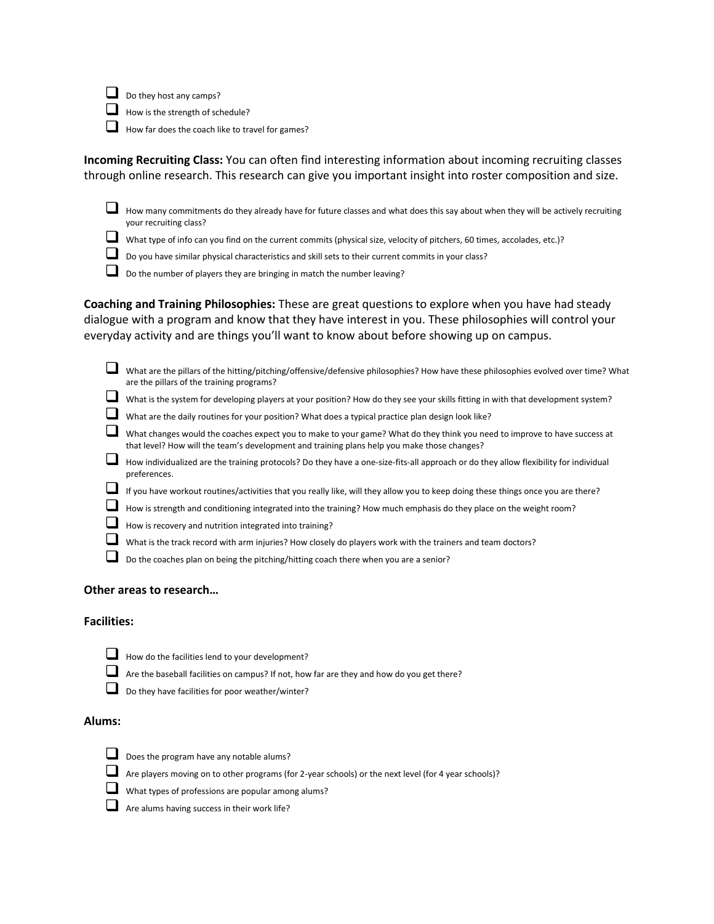$\Box$  Do they host any camps?

- How is the strength of schedule?
- How far does the coach like to travel for games?

**Incoming Recruiting Class:** You can often find interesting information about incoming recruiting classes through online research. This research can give you important insight into roster composition and size.

 $\Box$  How many commitments do they already have for future classes and what does this say about when they will be actively recruiting your recruiting class?

- What type of info can you find on the current commits (physical size, velocity of pitchers, 60 times, accolades, etc.)?
- Do you have similar physical characteristics and skill sets to their current commits in your class?

Do the number of players they are bringing in match the number leaving?

**Coaching and Training Philosophies:** These are great questions to explore when you have had steady dialogue with a program and know that they have interest in you. These philosophies will control your everyday activity and are things you'll want to know about before showing up on campus.

| What are the pillars of the hitting/pitching/offensive/defensive philosophies? How have these philosophies evolved over time? What<br>are the pillars of the training programs?                                          |
|--------------------------------------------------------------------------------------------------------------------------------------------------------------------------------------------------------------------------|
| What is the system for developing players at your position? How do they see your skills fitting in with that development system?                                                                                         |
| What are the daily routines for your position? What does a typical practice plan design look like?                                                                                                                       |
| What changes would the coaches expect you to make to your game? What do they think you need to improve to have success at<br>that level? How will the team's development and training plans help you make those changes? |
| How individualized are the training protocols? Do they have a one-size-fits-all approach or do they allow flexibility for individual<br>preferences.                                                                     |
| If you have workout routines/activities that you really like, will they allow you to keep doing these things once you are there?                                                                                         |
| How is strength and conditioning integrated into the training? How much emphasis do they place on the weight room?                                                                                                       |
| How is recovery and nutrition integrated into training?                                                                                                                                                                  |
| What is the track record with arm injuries? How closely do players work with the trainers and team doctors?                                                                                                              |
| Do the coaches plan on being the pitching/hitting coach there when you are a senior?                                                                                                                                     |

# **Other areas to research…**

#### **Facilities:**

- 
- $\Box$  How do the facilities lend to your development?
- Are the baseball facilities on campus? If not, how far are they and how do you get there?
- Do they have facilities for poor weather/winter?

## **Alums:**



- Does the program have any notable alums?
- $\Box$  Are players moving on to other programs (for 2-year schools) or the next level (for 4 year schools)?
- What types of professions are popular among alums?
- Are alums having success in their work life?